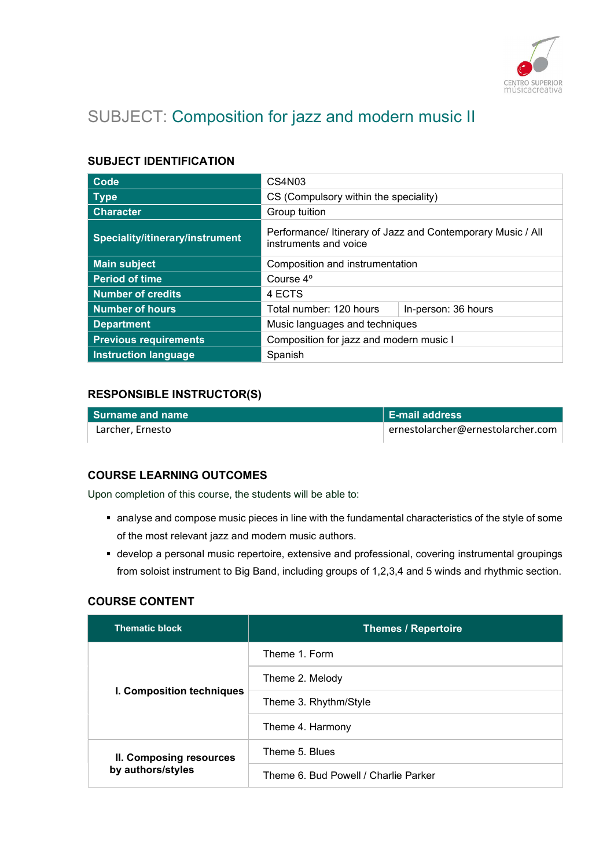

# SUBJECT: Composition for jazz and modern music II

# SUBJECT IDENTIFICATION

| Code                            | CS4N <sub>03</sub>                                                                   |                     |
|---------------------------------|--------------------------------------------------------------------------------------|---------------------|
| <b>Type</b>                     | CS (Compulsory within the speciality)                                                |                     |
| <b>Character</b>                | Group tuition                                                                        |                     |
| Speciality/itinerary/instrument | Performance/ Itinerary of Jazz and Contemporary Music / All<br>instruments and voice |                     |
| <b>Main subject</b>             | Composition and instrumentation                                                      |                     |
| <b>Period of time</b>           | Course 4 <sup>°</sup>                                                                |                     |
| <b>Number of credits</b>        | 4 ECTS                                                                               |                     |
| <b>Number of hours</b>          | Total number: 120 hours                                                              | In-person: 36 hours |
| <b>Department</b>               | Music languages and techniques                                                       |                     |
| <b>Previous requirements</b>    | Composition for jazz and modern music I                                              |                     |
| <b>Instruction language</b>     | Spanish                                                                              |                     |

## RESPONSIBLE INSTRUCTOR(S)

| l Surname and name | <b>E-mail address</b>             |
|--------------------|-----------------------------------|
| Larcher, Ernesto   | ernestolarcher@ernestolarcher.com |

# COURSE LEARNING OUTCOMES

Upon completion of this course, the students will be able to:

- analyse and compose music pieces in line with the fundamental characteristics of the style of some of the most relevant jazz and modern music authors.
- develop a personal music repertoire, extensive and professional, covering instrumental groupings from soloist instrument to Big Band, including groups of 1,2,3,4 and 5 winds and rhythmic section.

## COURSE CONTENT

| <b>Thematic block</b>                        | <b>Themes / Repertoire</b>           |
|----------------------------------------------|--------------------------------------|
| I. Composition techniques                    | Theme 1. Form                        |
|                                              | Theme 2. Melody                      |
|                                              | Theme 3. Rhythm/Style                |
|                                              | Theme 4. Harmony                     |
| II. Composing resources<br>by authors/styles | Theme 5. Blues                       |
|                                              | Theme 6, Bud Powell / Charlie Parker |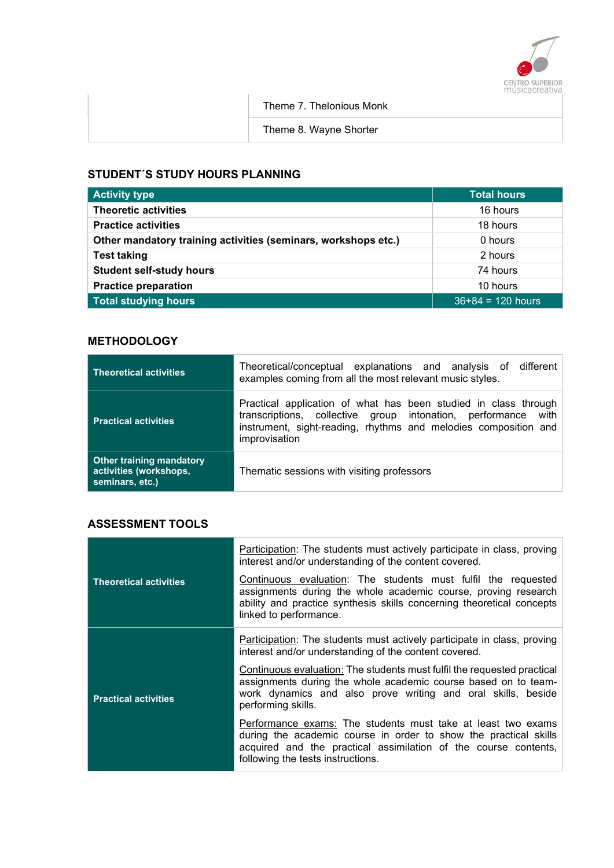

Theme 7. Thelonious Monk

Theme 8. Wayne Shorter

# STUDENT´S STUDY HOURS PLANNING

| <b>Activity type</b>                                           | <b>Total hours</b>  |
|----------------------------------------------------------------|---------------------|
| <b>Theoretic activities</b>                                    | 16 hours            |
| <b>Practice activities</b>                                     | 18 hours            |
| Other mandatory training activities (seminars, workshops etc.) | 0 hours             |
| <b>Test taking</b>                                             | 2 hours             |
| <b>Student self-study hours</b>                                | 74 hours            |
| <b>Practice preparation</b>                                    | 10 hours            |
| <b>Total studying hours</b>                                    | $36+84 = 120$ hours |

# **METHODOLOGY**

| <b>Theoretical activities</b>                                                | Theoretical/conceptual explanations and analysis of different<br>examples coming from all the most relevant music styles.                                                                                            |
|------------------------------------------------------------------------------|----------------------------------------------------------------------------------------------------------------------------------------------------------------------------------------------------------------------|
| <b>Practical activities</b>                                                  | Practical application of what has been studied in class through<br>transcriptions, collective group intonation, performance with<br>instrument, sight-reading, rhythms and melodies composition and<br>improvisation |
| <b>Other training mandatory</b><br>activities (workshops,<br>seminars, etc.) | Thematic sessions with visiting professors                                                                                                                                                                           |

# ASSESSMENT TOOLS

| <b>Theoretical activities</b> | Participation: The students must actively participate in class, proving<br>interest and/or understanding of the content covered.<br>Continuous evaluation: The students must fulfil the requested<br>assignments during the whole academic course, proving research<br>ability and practice synthesis skills concerning theoretical concepts<br>linked to performance. |
|-------------------------------|------------------------------------------------------------------------------------------------------------------------------------------------------------------------------------------------------------------------------------------------------------------------------------------------------------------------------------------------------------------------|
| <b>Practical activities</b>   | <b>Participation:</b> The students must actively participate in class, proving<br>interest and/or understanding of the content covered.                                                                                                                                                                                                                                |
|                               | Continuous evaluation: The students must fulfil the requested practical<br>assignments during the whole academic course based on to team-<br>work dynamics and also prove writing and oral skills, beside<br>performing skills.                                                                                                                                        |
|                               | Performance exams: The students must take at least two exams<br>during the academic course in order to show the practical skills<br>acquired and the practical assimilation of the course contents,<br>following the tests instructions.                                                                                                                               |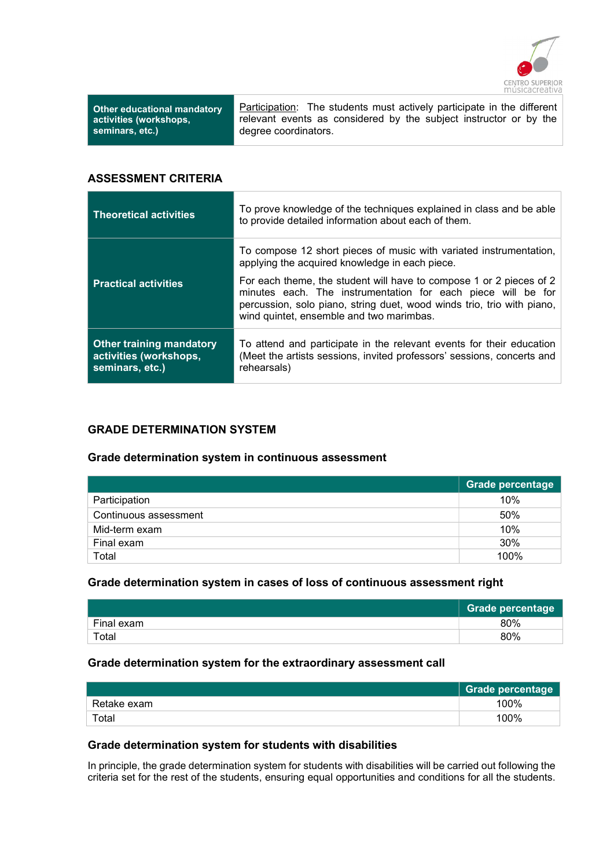

| <b>Other educational mandatory</b> |  |
|------------------------------------|--|
| activities (workshops,             |  |
| seminars, etc.)                    |  |

Participation: The students must actively participate in the different relevant events as considered by the subject instructor or by the degree coordinators.

#### ASSESSMENT CRITERIA

| <b>Theoretical activities</b>                                                | To prove knowledge of the techniques explained in class and be able<br>to provide detailed information about each of them.                                                                                                                                |
|------------------------------------------------------------------------------|-----------------------------------------------------------------------------------------------------------------------------------------------------------------------------------------------------------------------------------------------------------|
|                                                                              | To compose 12 short pieces of music with variated instrumentation,<br>applying the acquired knowledge in each piece.                                                                                                                                      |
| <b>Practical activities</b>                                                  | For each theme, the student will have to compose 1 or 2 pieces of 2<br>minutes each. The instrumentation for each piece will be for<br>percussion, solo piano, string duet, wood winds trio, trio with piano,<br>wind quintet, ensemble and two marimbas. |
| <b>Other training mandatory</b><br>activities (workshops,<br>seminars, etc.) | To attend and participate in the relevant events for their education<br>(Meet the artists sessions, invited professors' sessions, concerts and<br>rehearsals)                                                                                             |

## GRADE DETERMINATION SYSTEM

#### Grade determination system in continuous assessment

|                       | <b>Grade percentage</b> |
|-----------------------|-------------------------|
| Participation         | 10%                     |
| Continuous assessment | 50%                     |
| Mid-term exam         | 10%                     |
| Final exam            | 30%                     |
| Total                 | 100%                    |

## Grade determination system in cases of loss of continuous assessment right

|             | <b>Grade percentage</b> |
|-------------|-------------------------|
| Final exam  | 80%                     |
| $\tau$ otal | 80%                     |

#### Grade determination system for the extraordinary assessment call

|             | Grade percentage |
|-------------|------------------|
| Retake exam | 100%             |
| Total       | 100%             |

#### Grade determination system for students with disabilities

In principle, the grade determination system for students with disabilities will be carried out following the criteria set for the rest of the students, ensuring equal opportunities and conditions for all the students.